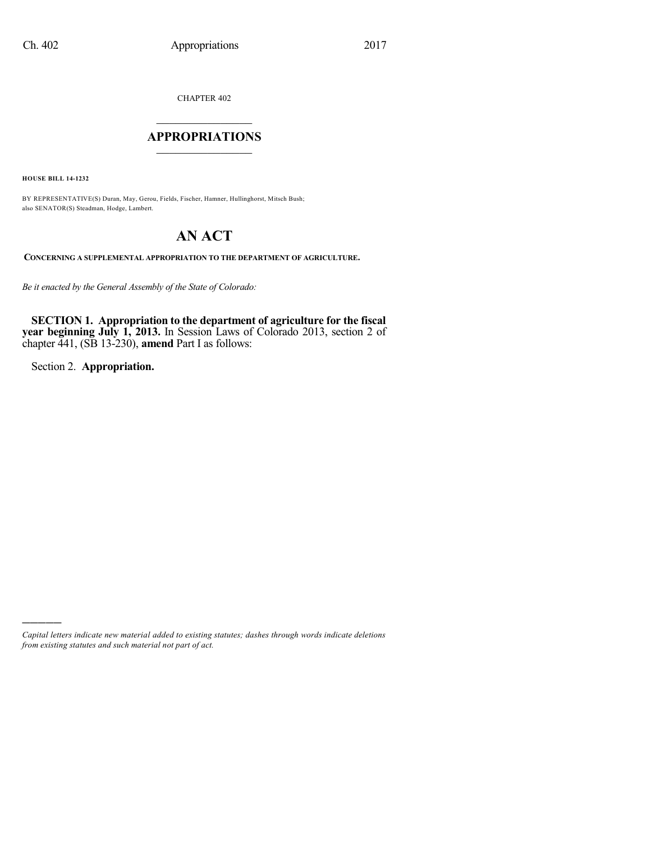CHAPTER 402

## $\overline{\phantom{a}}$  . The set of the set of the set of the set of the set of the set of the set of the set of the set of the set of the set of the set of the set of the set of the set of the set of the set of the set of the set o **APPROPRIATIONS**  $\_$   $\_$   $\_$   $\_$   $\_$   $\_$   $\_$   $\_$

**HOUSE BILL 14-1232**

BY REPRESENTATIVE(S) Duran, May, Gerou, Fields, Fischer, Hamner, Hullinghorst, Mitsch Bush; also SENATOR(S) Steadman, Hodge, Lambert.

# **AN ACT**

**CONCERNING A SUPPLEMENTAL APPROPRIATION TO THE DEPARTMENT OF AGRICULTURE.**

*Be it enacted by the General Assembly of the State of Colorado:*

**SECTION 1. Appropriation to the department of agriculture for the fiscal year beginning July 1, 2013.** In Session Laws of Colorado 2013, section 2 of chapter 441, (SB 13-230), **amend** Part I as follows:

Section 2. **Appropriation.**

)))))

*Capital letters indicate new material added to existing statutes; dashes through words indicate deletions from existing statutes and such material not part of act.*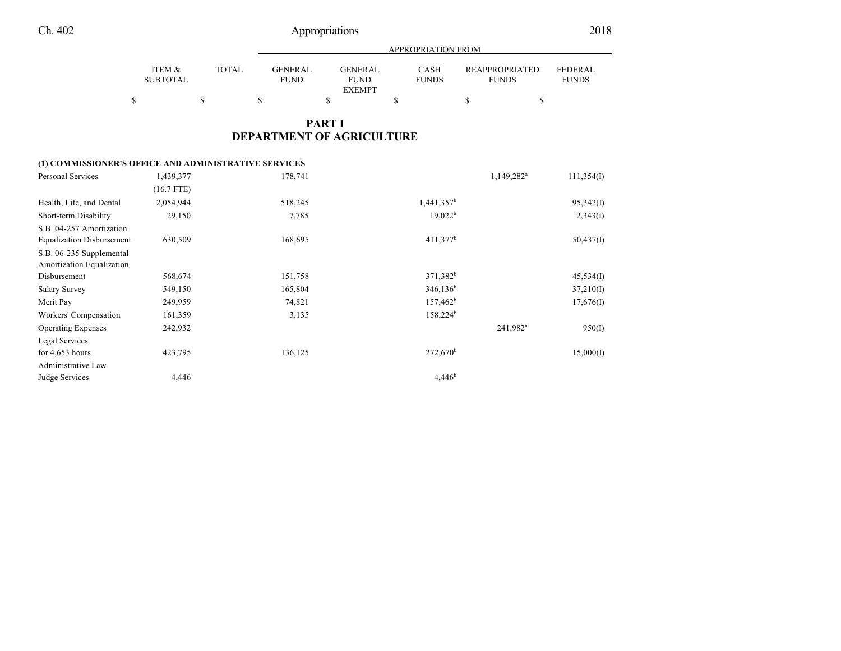|                           |       |                               | APPROPRIATION FROM                             |                             |                                |                                |  |  |
|---------------------------|-------|-------------------------------|------------------------------------------------|-----------------------------|--------------------------------|--------------------------------|--|--|
| ITEM &<br><b>SUBTOTAL</b> | TOTAL | <b>GENERAL</b><br><b>FUND</b> | <b>GENERAL</b><br><b>FUND</b><br><b>EXEMPT</b> | <b>CASH</b><br><b>FUNDS</b> | REAPPROPRIATED<br><b>FUNDS</b> | <b>FEDERAL</b><br><b>FUNDS</b> |  |  |
| \$                        |       |                               |                                                |                             |                                |                                |  |  |

### **PART I DEPARTMENT OF AGRICULTURE**

#### **(1) COMMISSIONER'S OFFICE AND ADMINISTRATIVE SERVICES**

| <b>Personal Services</b>         | 1,439,377    | 178,741 |                        | 1,149,282 <sup>a</sup> | 111,354(I) |
|----------------------------------|--------------|---------|------------------------|------------------------|------------|
|                                  | $(16.7$ FTE) |         |                        |                        |            |
| Health, Life, and Dental         | 2,054,944    | 518,245 | $1,441,357^b$          |                        | 95,342(1)  |
| Short-term Disability            | 29,150       | 7.785   | $19,022^b$             |                        | 2,343(I)   |
| S.B. 04-257 Amortization         |              |         |                        |                        |            |
| <b>Equalization Disbursement</b> | 630,509      | 168,695 | $411,377$ <sup>b</sup> |                        | 50,437(1)  |
| S.B. 06-235 Supplemental         |              |         |                        |                        |            |
| Amortization Equalization        |              |         |                        |                        |            |
| Disbursement                     | 568,674      | 151,758 | 371,382 <sup>b</sup>   |                        | 45,534(I)  |
| Salary Survey                    | 549,150      | 165,804 | $346,136^b$            |                        | 37,210(I)  |
| Merit Pay                        | 249,959      | 74,821  | $157,462^b$            |                        | 17,676(I)  |
| Workers' Compensation            | 161,359      | 3,135   | $158,224^b$            |                        |            |
| <b>Operating Expenses</b>        | 242,932      |         |                        | 241,982 <sup>a</sup>   | 950(I)     |
| Legal Services                   |              |         |                        |                        |            |
| for $4,653$ hours                | 423,795      | 136,125 | $272,670^{\rm b}$      |                        | 15,000(I)  |
| Administrative Law               |              |         |                        |                        |            |
| Judge Services                   | 4,446        |         | 4.446 <sup>b</sup>     |                        |            |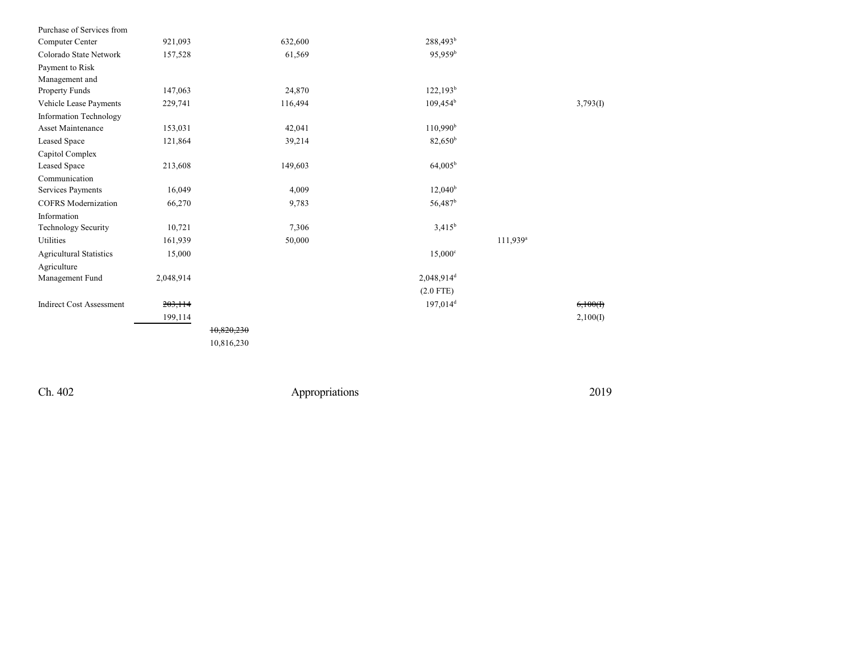| Purchase of Services from       |           |            |                          |                        |          |
|---------------------------------|-----------|------------|--------------------------|------------------------|----------|
| Computer Center                 | 921,093   | 632,600    | 288,493 <sup>b</sup>     |                        |          |
| Colorado State Network          | 157,528   | 61,569     | 95,959 <sup>b</sup>      |                        |          |
| Payment to Risk                 |           |            |                          |                        |          |
| Management and                  |           |            |                          |                        |          |
| Property Funds                  | 147,063   | 24,870     | $122,193^b$              |                        |          |
| Vehicle Lease Payments          | 229,741   | 116,494    | $109,454^b$              |                        | 3,793(I) |
| <b>Information Technology</b>   |           |            |                          |                        |          |
| Asset Maintenance               | 153,031   | 42,041     | $110,990^{\rm b}$        |                        |          |
| Leased Space                    | 121,864   | 39,214     | 82,650 <sup>b</sup>      |                        |          |
| Capitol Complex                 |           |            |                          |                        |          |
| Leased Space                    | 213,608   | 149,603    | $64,005^{\rm b}$         |                        |          |
| Communication                   |           |            |                          |                        |          |
| Services Payments               | 16,049    | 4,009      | $12,040^{\rm b}$         |                        |          |
| <b>COFRS</b> Modernization      | 66,270    | 9,783      | 56,487 <sup>b</sup>      |                        |          |
| Information                     |           |            |                          |                        |          |
| Technology Security             | 10,721    | 7,306      | $3,415^b$                |                        |          |
| Utilities                       | 161,939   | 50,000     |                          | $111,939$ <sup>a</sup> |          |
| <b>Agricultural Statistics</b>  | 15,000    |            | $15,000^{\circ}$         |                        |          |
| Agriculture                     |           |            |                          |                        |          |
| Management Fund                 | 2,048,914 |            | $2,048,914$ <sup>d</sup> |                        |          |
|                                 |           |            | $(2.0$ FTE)              |                        |          |
| <b>Indirect Cost Assessment</b> | 203,114   |            | $197,014$ <sup>d</sup>   |                        | 6,100(f) |
|                                 | 199,114   |            |                          |                        | 2,100(I) |
|                                 |           | 10,820,230 |                          |                        |          |
|                                 |           | 10,816,230 |                          |                        |          |
|                                 |           |            |                          |                        |          |

Ch. 402

Appropriations

2 0 1 9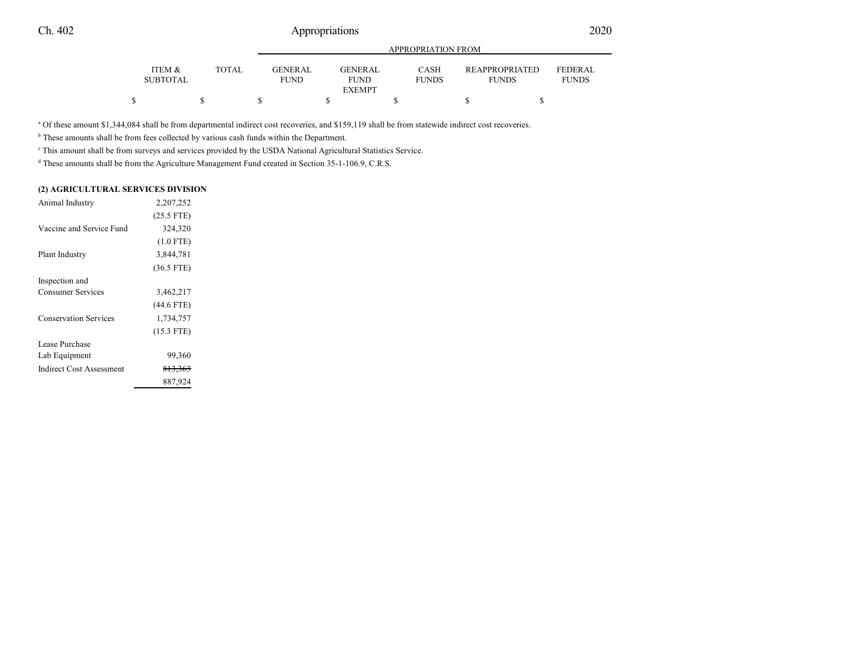|                 |       |             | APPROPRIATION FROM           |              |                       |                |  |
|-----------------|-------|-------------|------------------------------|--------------|-----------------------|----------------|--|
| ITEM &          | TOTAL | GENER AL.   | <b>GENERAL</b>               | <b>CASH</b>  | <b>REAPPROPRIATED</b> | <b>FEDERAL</b> |  |
| <b>SUBTOTAL</b> |       | <b>FUND</b> | <b>FUND</b><br><b>EXEMPT</b> | <b>FUNDS</b> | <b>FUNDS</b>          | <b>FUNDS</b>   |  |
|                 |       |             |                              |              |                       |                |  |

<sup>a</sup> Of these amount \$1,344,084 shall be from departmental indirect cost recoveries, and \$159,119 shall be from statewide indirect cost recoveries.

<sup>b</sup> These amounts shall be from fees collected by various cash funds within the Department.

c This amount shall be from surveys and services provided by the USDA National Agricultural Statistics Service.

<sup>d</sup> These amounts shall be from the Agriculture Management Fund created in Section 35-1-106.9, C.R.S.

#### **(2) AGRICULTURAL SERVICES DIVISION**

| Animal Industry              | 2,207,252          |  |
|------------------------------|--------------------|--|
|                              | $(25.5$ FTE)       |  |
| Vaccine and Service Fund     | 324,320            |  |
|                              | $(1.0$ FTE)        |  |
| Plant Industry               | 3,844,781          |  |
|                              | $(36.5$ FTE)       |  |
| Inspection and               |                    |  |
| <b>Consumer Services</b>     | 3,462,217          |  |
|                              | $(44.6$ FTE)       |  |
| <b>Conservation Services</b> | 1,734,757          |  |
|                              | $(15.3$ FTE)       |  |
| Lease Purchase               |                    |  |
| Lab Equipment                | 99,360             |  |
| Indirect Cost Assessment     | <del>813,363</del> |  |
|                              | 887,924            |  |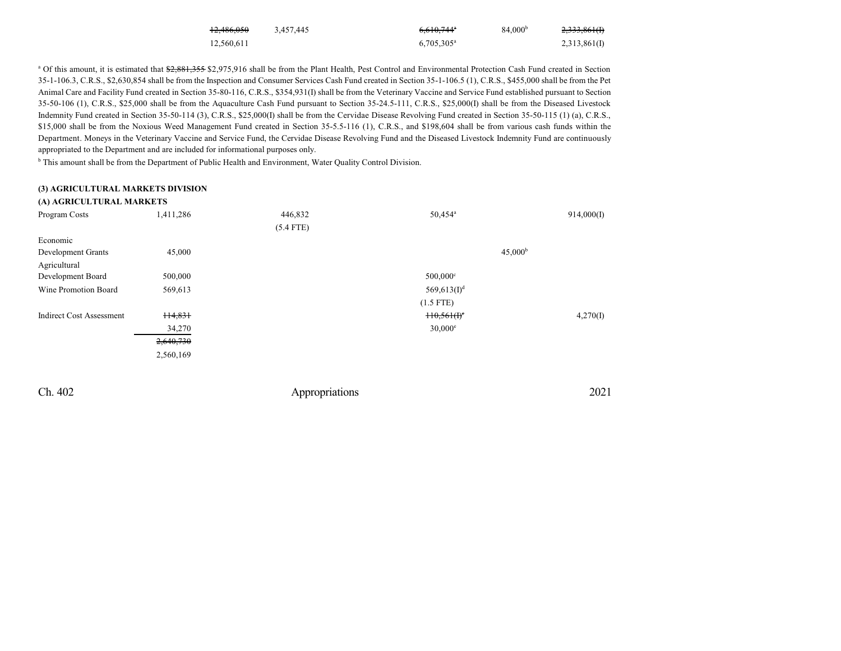| <del>12,486,050</del> | 3.457.445 | $6,610,744^{\circ}$ | 84.000 <sup>b</sup> | 2,333,861(I) |
|-----------------------|-----------|---------------------|---------------------|--------------|
| 12,560,611            |           | $6,705,305^{\circ}$ |                     | 2,313,861(I) |

<sup>a</sup> Of this amount, it is estimated that \$2,881,355 \$2,975,916 shall be from the Plant Health, Pest Control and Environmental Protection Cash Fund created in Section 35-1-106.3, C.R.S., \$2,630,854 shall be from the Inspection and Consumer Services Cash Fund created in Section 35-1-106.5 (1), C.R.S., \$455,000 shall be from the Pet Animal Care and Facility Fund created in Section 35-80-116, C.R.S., \$354,931(I) shall be from the Veterinary Vaccine and Service Fund established pursuant to Section 35-50-106 (1), C.R.S., \$25,000 shall be from the Aquaculture Cash Fund pursuant to Section 35-24.5-111, C.R.S., \$25,000(I) shall be from the Diseased Livestock Indemnity Fund created in Section 35-50-114 (3), C.R.S., \$25,000(I) shall be from the Cervidae Disease Revolving Fund created in Section 35-50-115 (1) (a), C.R.S., \$15,000 shall be from the Noxious Weed Management Fund created in Section 35-5.5-116 (1), C.R.S., and \$198,604 shall be from various cash funds within the Department. Moneys in the Veterinary Vaccine and Service Fund, the Cervidae Disease Revolving Fund and the Diseased Livestock Indemnity Fund are continuously appropriated to the Department and are included for informational purposes only.

<sup>b</sup> This amount shall be from the Department of Public Health and Environment, Water Quality Control Division.

#### **(3) AGRICULTURAL MARKETS DIVISION**

| (A) AGRICULTURAL MARKETS        |           |             |                        |            |
|---------------------------------|-----------|-------------|------------------------|------------|
| Program Costs                   | 1,411,286 | 446,832     | 50,454 <sup>a</sup>    | 914,000(I) |
|                                 |           | $(5.4$ FTE) |                        |            |
| Economic                        |           |             |                        |            |
| Development Grants              | 45,000    |             | $45,000^{\rm b}$       |            |
| Agricultural                    |           |             |                        |            |
| Development Board               | 500,000   |             | $500,000$ <sup>c</sup> |            |
| Wine Promotion Board            | 569,613   |             | $569,613(1)^d$         |            |
|                                 |           |             | $(1.5$ FTE)            |            |
| <b>Indirect Cost Assessment</b> | 114,831   |             | $H0,56H0$ <sup>e</sup> | 4,270(I)   |
|                                 | 34,270    |             | $30,000^{\circ}$       |            |
|                                 | 2,640,730 |             |                        |            |
|                                 | 2,560,169 |             |                        |            |
|                                 |           |             |                        |            |

Ch. 402 Appropriations 2021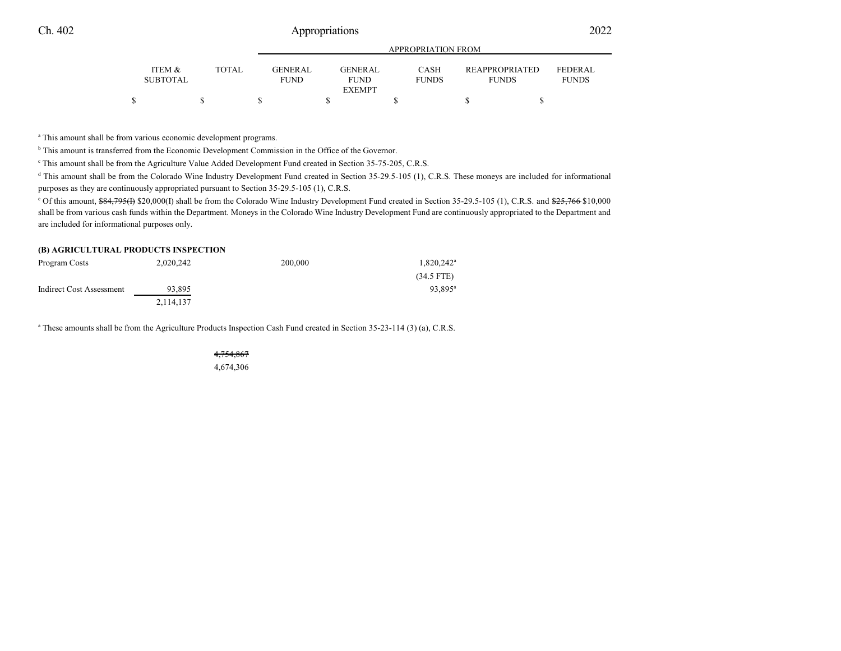|                                      |        | APPROPRIATION FROM             |  |                        |  |                             |  |                                       |                                |  |
|--------------------------------------|--------|--------------------------------|--|------------------------|--|-----------------------------|--|---------------------------------------|--------------------------------|--|
| <b>ITEM &amp;</b><br><b>SUBTOTAL</b> | TOTAL. | <b>GENER AL</b><br><b>FUND</b> |  | GENERAL<br><b>FUND</b> |  | <b>CASH</b><br><b>FUNDS</b> |  | <b>REAPPROPRIATED</b><br><b>FUNDS</b> | <b>FEDERAL</b><br><b>FUNDS</b> |  |
|                                      |        |                                |  | <b>EXEMPT</b>          |  |                             |  |                                       |                                |  |
|                                      |        |                                |  |                        |  |                             |  |                                       |                                |  |

<sup>a</sup> This amount shall be from various economic development programs.

<sup>b</sup> This amount is transferred from the Economic Development Commission in the Office of the Governor.

c This amount shall be from the Agriculture Value Added Development Fund created in Section 35-75-205, C.R.S.

<sup>d</sup> This amount shall be from the Colorado Wine Industry Development Fund created in Section 35-29.5-105 (1), C.R.S. These moneys are included for informational purposes as they are continuously appropriated pursuant to Section 35-29.5-105 (1), C.R.S.

<sup>e</sup> Of this amount, \$84,795(f) \$20,000(I) shall be from the Colorado Wine Industry Development Fund created in Section 35-29.5-105 (1), C.R.S. and \$25,766 \$10,000 shall be from various cash funds within the Department. Moneys in the Colorado Wine Industry Development Fund are continuously appropriated to the Department and are included for informational purposes only.

#### **(B) AGRICULTURAL PRODUCTS INSPECTION**

| Program Costs            | 2,020,242 | 200,000 | $1,820,242^{\rm a}$ |
|--------------------------|-----------|---------|---------------------|
|                          |           |         | $(34.5$ FTE)        |
| Indirect Cost Assessment | 93.895    |         | 93.895 <sup>a</sup> |
|                          | 2,114,137 |         |                     |

a These amounts shall be from the Agriculture Products Inspection Cash Fund created in Section 35-23-114 (3) (a), C.R.S.

4,754,867 4,674,306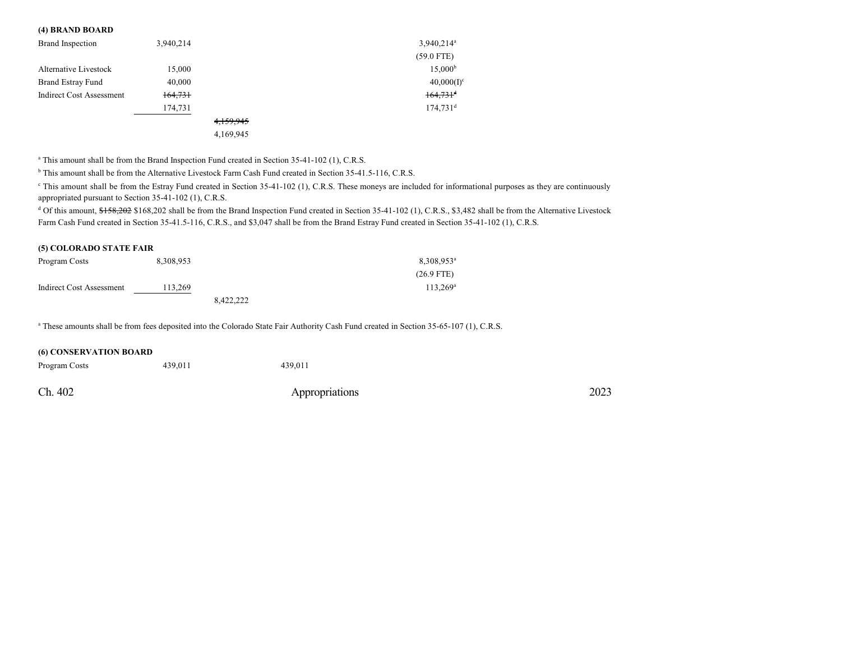#### **(4) BRAND BOARD**

| Brand Inspection         | 3,940,214 |           | $3,940,214^a$          |
|--------------------------|-----------|-----------|------------------------|
|                          |           |           | $(59.0$ FTE)           |
| Alternative Livestock    | 15,000    |           | $15,000^{\rm b}$       |
| <b>Brand Estray Fund</b> | 40,000    |           | $40,000(1)^c$          |
| Indirect Cost Assessment | 164,731   |           | $164,731$ <sup>d</sup> |
|                          | 174,731   |           | $174,731$ <sup>d</sup> |
|                          |           | 4,159,945 |                        |
|                          |           | 4,169,945 |                        |

<sup>a</sup> This amount shall be from the Brand Inspection Fund created in Section 35-41-102 (1), C.R.S.

<sup>b</sup> This amount shall be from the Alternative Livestock Farm Cash Fund created in Section 35-41.5-116, C.R.S.

 $\degree$  This amount shall be from the Estray Fund created in Section 35-41-102 (1), C.R.S. These moneys are included for informational purposes as they are continuously appropriated pursuant to Section 35-41-102 (1), C.R.S.

<sup>d</sup> Of this amount, \$158,202 \$168,202 shall be from the Brand Inspection Fund created in Section 35-41-102 (1), C.R.S., \$3,482 shall be from the Alternative Livestock Farm Cash Fund created in Section 35-41.5-116, C.R.S., and \$3,047 shall be from the Brand Estray Fund created in Section 35-41-102 (1), C.R.S.

| (5) COLORADO STATE FAIR  |           |           |                        |  |  |  |
|--------------------------|-----------|-----------|------------------------|--|--|--|
| Program Costs            | 8,308,953 |           | 8,308,953 <sup>a</sup> |  |  |  |
|                          |           |           | $(26.9$ FTE)           |  |  |  |
| Indirect Cost Assessment | 113.269   |           | $113.269^{\rm a}$      |  |  |  |
|                          |           | 8,422,222 |                        |  |  |  |

<sup>a</sup> These amounts shall be from fees deposited into the Colorado State Fair Authority Cash Fund created in Section 35-65-107 (1), C.R.S.

| <b>(6) CONSERVATION BOARD</b> |         |                |      |  |  |  |  |  |
|-------------------------------|---------|----------------|------|--|--|--|--|--|
| Program Costs                 | 439.011 | 439.011        |      |  |  |  |  |  |
| Ch. 402                       |         | Appropriations | 2023 |  |  |  |  |  |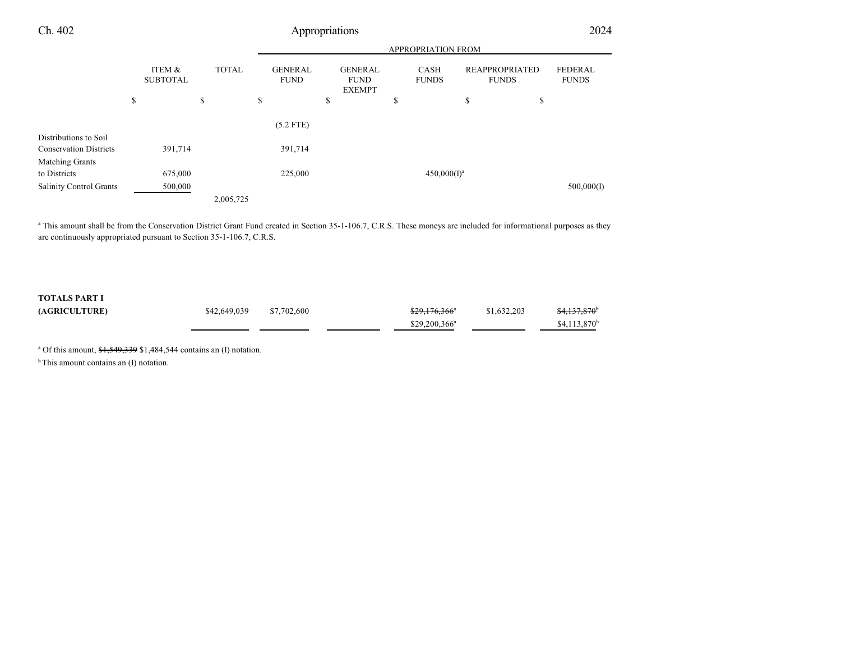|                                |                           |              | <b>APPROPRIATION FROM</b>     |    |                                                |    |                             |    |                                       |                                |
|--------------------------------|---------------------------|--------------|-------------------------------|----|------------------------------------------------|----|-----------------------------|----|---------------------------------------|--------------------------------|
|                                | ITEM &<br><b>SUBTOTAL</b> | <b>TOTAL</b> | <b>GENERAL</b><br><b>FUND</b> |    | <b>GENERAL</b><br><b>FUND</b><br><b>EXEMPT</b> |    | <b>CASH</b><br><b>FUNDS</b> |    | <b>REAPPROPRIATED</b><br><b>FUNDS</b> | <b>FEDERAL</b><br><b>FUNDS</b> |
|                                | \$                        | \$           | \$                            | \$ |                                                | \$ |                             | \$ | \$                                    |                                |
|                                |                           |              | $(5.2$ FTE)                   |    |                                                |    |                             |    |                                       |                                |
| Distributions to Soil          |                           |              |                               |    |                                                |    |                             |    |                                       |                                |
| <b>Conservation Districts</b>  | 391,714                   |              | 391,714                       |    |                                                |    |                             |    |                                       |                                |
| <b>Matching Grants</b>         |                           |              |                               |    |                                                |    |                             |    |                                       |                                |
| to Districts                   | 675,000                   |              | 225,000                       |    |                                                |    | $450,000(I)^a$              |    |                                       |                                |
| <b>Salinity Control Grants</b> | 500,000                   |              |                               |    |                                                |    |                             |    |                                       | 500,000(I)                     |
|                                |                           | 2,005,725    |                               |    |                                                |    |                             |    |                                       |                                |

<sup>a</sup> This amount shall be from the Conservation District Grant Fund created in Section 35-1-106.7, C.R.S. These moneys are included for informational purposes as they are continuously appropriated pursuant to Section 35-1-106.7, C.R.S.

### **TOTALS PART I**

| <b>(AGRICULTURE)</b> | \$42,649,039 | \$7,702,600 | <del>\$29,176,366</del> * | \$1,632,203 | \$4,137,870 <sup>b</sup>  |
|----------------------|--------------|-------------|---------------------------|-------------|---------------------------|
|                      |              |             | $$29,200,366^a$           |             | $$4,113,870$ <sup>b</sup> |

<sup>a</sup> Of this amount, \$1,549,339 \$1,484,544 contains an (I) notation.

 $<sup>b</sup>$ This amount contains an (I) notation.</sup>